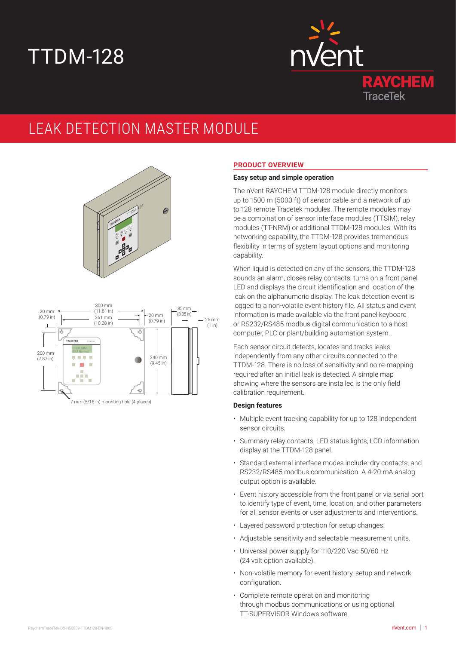# TTDM-128



# LEAK DETECTION MASTER MODULE





# **PRODUCT OVERVIEW**

# **Easy setup and simple operation**

The nVent RAYCHEM TTDM-128 module directly monitors up to 1500 m (5000 ft) of sensor cable and a network of up to 128 remote Tracetek modules. The remote modules may be a combination of sensor interface modules (TTSIM), relay modules (TT-NRM) or additional TTDM-128 modules. With its networking capability, the TTDM-128 provides tremendous flexibility in terms of system layout options and monitoring capability.

When liquid is detected on any of the sensors, the TTDM-128 sounds an alarm, closes relay contacts, turns on a front panel LED and displays the circuit identification and location of the leak on the alphanumeric display. The leak detection event is logged to a non-volatile event history file. All status and event information is made available via the front panel keyboard or RS232/RS485 modbus digital communication to a host computer, PLC or plant/building automation system.

Each sensor circuit detects, locates and tracks leaks independently from any other circuits connected to the TTDM-128. There is no loss of sensitivity and no re-mapping required after an initial leak is detected. A simple map showing where the sensors are installed is the only field calibration requirement.

# **Design features**

- Multiple event tracking capability for up to 128 independent sensor circuits.
- Summary relay contacts, LED status lights, LCD information display at the TTDM-128 panel.
- Standard external interface modes include: dry contacts, and RS232/RS485 modbus communication. A 4-20 mA analog output option is available.
- Event history accessible from the front panel or via serial port to identify type of event, time, location, and other parameters for all sensor events or user adjustments and interventions.
- Layered password protection for setup changes.
- Adjustable sensitivity and selectable measurement units.
- Universal power supply for 110/220 Vac 50/60 Hz (24 volt option available).
- Non-volatile memory for event history, setup and network configuration.
- Complete remote operation and monitoring through modbus communications or using optional TT-SUPERVISOR Windows software.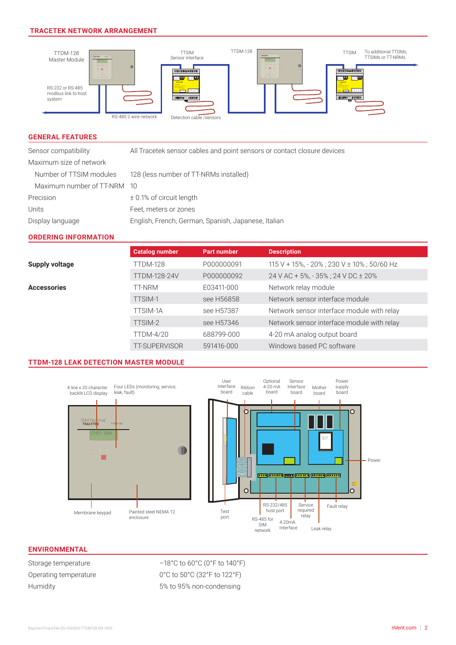# **TRACETEK NETWORK ARRANGEMENT**



#### **GENERAL FEATURES**

Sensor compatibility All Tracetek sensor cables and point sensors or contact closure devices

| Maximum size of network     |                                                     |
|-----------------------------|-----------------------------------------------------|
| Number of TTSIM modules     | 128 (less number of TT-NRMs installed)              |
| Maximum number of TT-NRM 10 |                                                     |
| Precision                   | $\pm$ 0.1% of circuit length                        |
| Units                       | Feet, meters or zones                               |
| Display language            | English, French, German, Spanish, Japanese, Italian |

#### **ORDERING INFORMATION**

|                       | <b>Catalog number</b> | <b>Part number</b> | <b>Description</b>                            |
|-----------------------|-----------------------|--------------------|-----------------------------------------------|
| <b>Supply voltage</b> | TTDM-128              | P000000091         | $115$ V + 15%, - 20% ; 230 V ± 10% ; 50/60 Hz |
|                       | <b>TTDM-128-24V</b>   | P000000092         | 24 V AC + 5%, - 35%; 24 V DC ± 20%            |
| <b>Accessories</b>    | TT-NRM                | E03411-000         | Network relay module                          |
|                       | TTSIM-1               | see H56858         | Network sensor interface module               |
|                       | <b>TTSIM-1A</b>       | see H57387         | Network sensor interface module with relay    |
|                       | TTSIM-2               | see H57346         | Network sensor interface module with relay    |
|                       | <b>TTDM-4/20</b>      | 688799-000         | 4-20 mA analog output board                   |
|                       | <b>TT-SUPERVISOR</b>  | 591416-000         | Windows based PC software                     |

# **TTDM-128 LEAK DETECTION MASTER MODULE**



# **ENVIRONMENTAL**

Storage temperature  $-18^{\circ}$ C to 60°C (0°F to 140°F) Operating temperature 0°C to 50°C (32°F to 122°F) Humidity 5% to 95% non-condensing